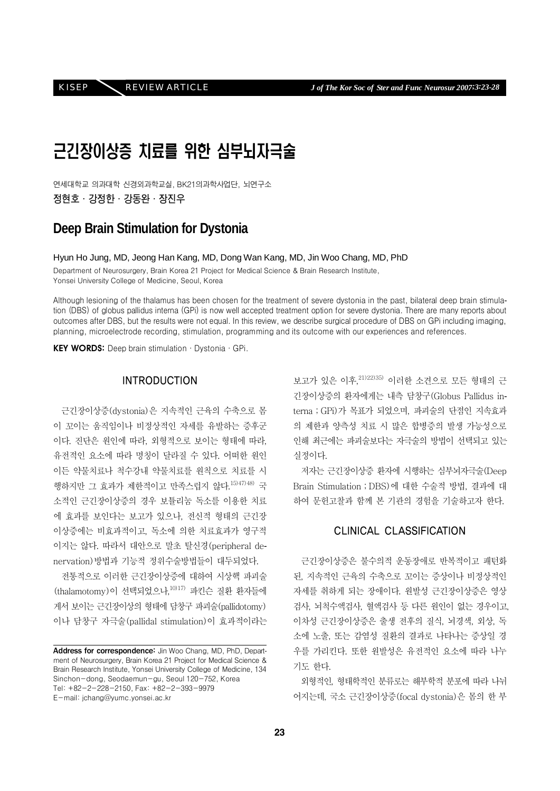# 근긴장이상증 치료를 위한 심부뇌자극술

연세대학교 의과대학 신경외과학교실, BK21의과학사업단, 뇌연구소 정현호·강정한·강동완·장진우

# **Deep Brain Stimulation for Dystonia**

Hyun Ho Jung, MD, Jeong Han Kang, MD, Dong Wan Kang, MD, Jin Woo Chang, MD, PhD

Department of Neurosurgery, Brain Korea 21 Project for Medical Science & Brain Research Institute, Yonsei University College of Medicine, Seoul, Korea

Although lesioning of the thalamus has been chosen for the treatment of severe dystonia in the past, bilateral deep brain stimulation (DBS) of globus pallidus interna (GPi) is now well accepted treatment option for severe dystonia. There are many reports about outcomes after DBS, but the results were not equal. In this review, we describe surgical procedure of DBS on GPi including imaging, planning, microelectrode recording, stimulation, programming and its outcome with our experiences and references.

KEY WORDS: Deep brain stimulation · Dystonia · GPi.

### INTRODUCTION

근긴장이상증(dystonia)은 지속적인 근육의 수축으로 몸 이 꼬이는 움직임이나 비정상적인 자세를 유발하는 증후군 이다. 진단은 원인에 따라, 외형적으로 보이는 형태에 따라, 유전적인 요소에 따라 명칭이 달라질 수 있다. 어떠한 원인 이든 약물치료나 척수강내 약물치료를 원칙으로 치료를 시 행하지만 그 효과가 제한적이고 만족스럽지 않다.15)47)48) 국 소적인 근긴장이상증의 경우 보튤리눔 독소를 이용한 치료 에 효과를 보인다는 보고가 있으나, 전신적 형태의 근긴장 이상증에는 비효과적이고, 독소에 의한 치료효과가 영구적 이지는 않다. 따라서 대안으로 말초 탈신경(peripheral denervation)방법과 기능적 정위수술방법들이 대두되었다.

전통적으로 이러한 근긴장이상증에 대하여 시상핵 파괴술  $(t$ halamotomy)이 선택되었으나, $1017$ ) 파킨슨 질환 환자들에 게서 보이는 근긴장이상의 형태에 담창구 파괴술(pallidotomy) 이나 담창구 자극술(pallidal stimulation)이 효과적이라는 보고가 있은 이후,21)22)35) 이러한 소견으로 모든 형태의 근 긴장이상증의 환자에게는 내측 담창구(Globus Pallidus interna;GPi)가 목표가 되었으며, 파괴술의 단점인 지속효과 의 제한과 양측성 치료 시 많은 합병증의 발생 가능성으로 인해 최근에는 파괴술보다는 자극술의 방법이 선택되고 있는 실정이다.

저자는 근긴장이상증 환자에 시행하는 심부뇌자극술(Deep Brain Stimulation;DBS)에 대한 수술적 방법, 결과에 대 하여 문헌고찰과 함께 본 기관의 경험을 기술하고자 한다.

## CLINICAL CLASSIFICATION

근긴장이상증은 불수의적 운동장애로 반복적이고 패턴화 된, 지속적인 근육의 수축으로 꼬이는 증상이나 비정상적인 자세를 취하게 되는 장애이다. 원발성 근긴장이상증은 영상 검사, 뇌척수액검사, 혈액검사 등 다른 원인이 없는 경우이고, 이차성 근긴장이상증은 출생 전후의 질식, 뇌경색, 외상, 독 소에 노출, 또는 감염성 질환의 결과로 나타나는 증상일 경 우를 가리킨다. 또한 원발성은 유전적인 요소에 따라 나누 기도 한다.

외형적인, 형태학적인 분류로는 해부학적 분포에 따라 나뉘 어지는데, 국소 근긴장이상증(focal dystonia)은 몸의 한 부

Address for correspondence: Jin Woo Chang, MD, PhD, Department of Neurosurgery, Brain Korea 21 Project for Medical Science & Brain Research Institute, Yonsei University College of Medicine, 134 Sinchon-dong, Seodaemun-gu, Seoul 120-752, Korea Tel: +82-2-228-2150, Fax: +82-2-393-9979 E-mail: jchang@yumc.yonsei.ac.kr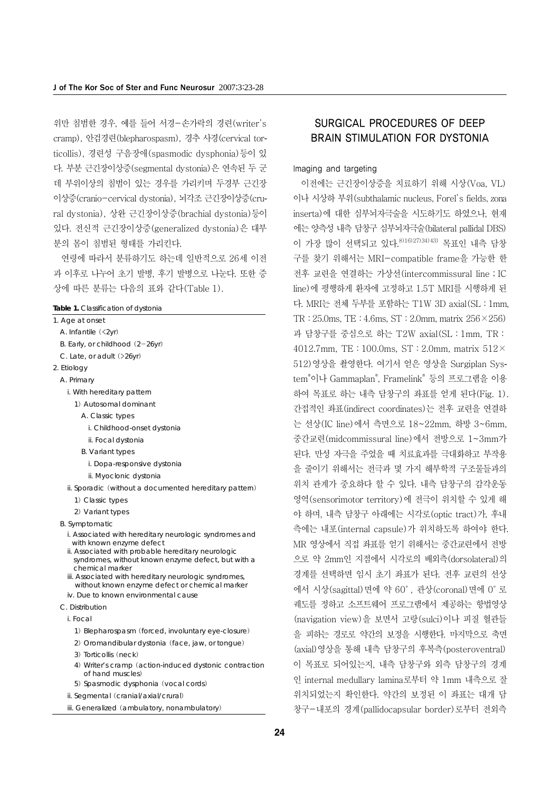위만 침범한 경우, 예를 들어 서경-손가락의 경련(writer's cramp), 안검경련(blepharospasm), 경추 사경(cervical torticollis), 경련성 구음장애(spasmodic dysphonia)등이 있 다. 부분 근긴장이상증(segmental dystonia)은 연속된 두 군 데 부위이상의 침범이 있는 경우를 가리키며 두경부 근긴장 이상증(cranio-cervical dystonia), 뇌각조 근긴장이상증(crural dystonia), 상완 근긴장이상증(brachial dystonia)등이 있다. 전신적 근긴장이상증(generalized dystonia)은 대부 분의 몸이 침범된 형태를 가리킨다.

연령에 따라서 분류하기도 하는데 일반적으로 26세 이전 과 이후로 나누어 초기 발병, 후기 발병으로 나눈다. 또한 증 상에 따른 분류는 다음의 표와 같다(Table 1).

#### **Table 1.** Classification of dystonia

- 1. Age at onset
	- A. Infantile (<2yr)
	- B. Early, or childhood (2-26yr)
	- C. Late, or adult (>26yr)
- 2. Etiology
	- A. Primary
		- i. With hereditary pattern
			- 1) Autosomal dominant
				- A. Classic types
				- i. Childhood-onset dystonia
				- ii. Focal dystonia
				- B. Variant types
					- i. Dopa-responsive dystonia
					- ii. Myoclonic dystonia
		- ii. Sporadic (without a documented hereditary pattern)
			- 1) Classic types
		- 2) Variant types
	- B. Symptomatic
		- i. Associated with hereditary neurologic syndromes and with known enzyme defect
		- ii. Associated with probable hereditary neurologic syndromes, without known enzyme defect, but with a chemical marker
		- iii. Associated with hereditary neurologic syndromes, without known enzyme defect or chemical marker iv. Due to known environmental cause
	- C. Distribution
		-
		- i. Focal
			- 1) Blepharospasm (forced, involuntary eye-closure)
			- 2) Oromandibular dystonia (face, jaw, or tongue)
			- 3) Torticollis (neck)
			- 4) Writer's cramp (action-induced dystonic contraction of hand muscles)
			- 5) Spasmodic dysphonia (vocal cords)
		- ii. Segmental (cranial/axial/crural)
		- iii. Generalized (ambulatory, nonambulatory)

## SURGICAL PROCEDURES OF DEEP BRAIN STIMULATION FOR DYSTONIA

#### Imaging and targeting

이전에는 근긴장이상증을 치료하기 위해 시상(Voa, VL) 이나 시상하 부위(subthalamic nucleus, Forel's fields, zona inserta)에 대한 심부뇌자극술을 시도하기도 하였으나, 현재 에는 양측성 내측 담창구 심부뇌자극술(bilateral pallidal DBS) 이 가장 많이 선택되고 있다.8)16)27)34)43) 목표인 내측 담창 구를 찾기 위해서는 MRI-compatible frame을 가능한 한 전후 교련을 연결하는 가상선(intercommissural line;IC line)에 평행하게 환자에 고정하고 1.5T MRI를 시행하게 된 다. MRI는 전체 두부를 포함하는 T1W 3D axial(SL:1mm, TR:25.0ms, TE:4.6ms, ST:2.0mm, matrix 256×256) 과 담창구를 중심으로 하는 T2W axial(SL:1mm, TR: 4012.7mm, TE: 100.0ms, ST: 2.0mm, matrix  $512\times$ 512)영상을 촬영한다. 여기서 얻은 영상을 Surgiplan System® 이나 Gammaplan® , Framelink® 등의 프로그램을 이용 하여 목표로 하는 내측 담창구의 좌표를 얻게 된다(Fig. 1). 간접적인 좌표(indirect coordinates)는 전후 교련을 연결하 는 선상(IC line)에서 측면으로 18~22mm, 하방 3~6mm, 중간교련(midcommissural line)에서 전방으로 1~3mm가 된다. 만성 자극을 주었을 때 치료효과를 극대화하고 부작용 을 줄이기 위해서는 전극과 몇 가지 해부학적 구조물들과의 위치 관계가 중요하다 할 수 있다. 내측 담창구의 감각운동 영역(sensorimotor territory)에 전극이 위치할 수 있게 해 야 하며, 내측 담창구 아래에는 시각로(optic tract)가, 후내 측에는 내포(internal capsule)가 위치하도록 하여야 한다. MR 영상에서 직접 좌표를 얻기 위해서는 중간교련에서 전방 으로 약 2mm인 지점에서 시각로의 배외측(dorsolateral)의 경계를 선택하면 임시 초기 좌표가 된다. 전후 교련의 선상 에서 시상(sagittal)면에 약 60°, 관상(coronal)면에 0°로 궤도를 정하고 소프트웨어 프로그램에서 제공하는 항법영상 (navigation view)을 보면서 고랑(sulci)이나 피질 혈관들 을 피하는 경로로 약간의 보정을 시행한다. 마지막으로 축면 (axial)영상을 통해 내측 담창구의 후복측(posteroventral) 이 목표로 되어있는지, 내측 담창구와 외측 담창구의 경계 인 internal medullary lamina로부터 약 1mm 내측으로 잘 위치되었는지 확인한다. 약간의 보정된 이 좌표는 대개 담 창구-내포의 경계(pallidocapsular border)로부터 전외측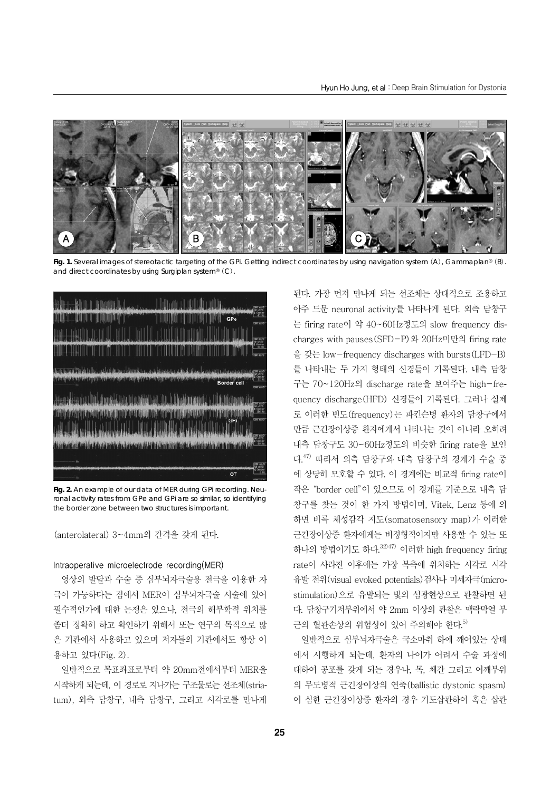

**Fig. 1.** Several images of stereotactic targeting of the GPi. Getting indirect coordinates by using navigation system (A), Gammaplan® (B). and direct coordinates by using Surgiplan system® (C).



**Fig. 2.** An example of our data of MER during GPi recording. Neuronal activity rates from GPe and GPi are so similar, so identifying the border zone between two structures is important.

(anterolateral) 3~4mm의 간격을 갖게 된다.

#### Intraoperative microelectrode recording(MER)

영상의 발달과 수술 중 심부뇌자극술용 전극을 이용한 자 극이 가능하다는 점에서 MER이 심부뇌자극술 시술에 있어 필수적인가에 대한 논쟁은 있으나, 전극의 해부학적 위치를 좀더 정확히 하고 확인하기 위해서 또는 연구의 목적으로 많 은 기관에서 사용하고 있으며 저자들의 기관에서도 항상 이 용하고 있다(Fig. 2).

일반적으로 목표좌표로부터 약 20mm전에서부터 MER을 시작하게 되는데, 이 경로로 지나가는 구조물로는 선조체(striatum), 외측 담창구, 내측 담창구, 그리고 시각로를 만나게 된다. 가장 먼저 만나게 되는 선조체는 상대적으로 조용하고 아주 드문 neuronal activity를 나타나게 된다. 외측 담창구 는 firing rate이 약 40~60Hz정도의 slow frequency discharges with pauses(SFD-P)와 20Hz미만의 firing rate 을 갖는 low-frequency discharges with bursts(LFD-B) 를 나타내는 두 가지 형태의 신경들이 기록된다. 내측 담창 구는 70~120Hz의 discharge rate을 보여주는 high-frequency discharge(HFD) 신경들이 기록된다. 그러나 실제 로 이러한 빈도(frequency)는 파킨슨병 환자의 담창구에서 만큼 근긴장이상증 환자에게서 나타나는 것이 아니라 오히려 내측 담창구도 30~60Hz정도의 비슷한 firing rate을 보인 다.47) 따라서 외측 담창구와 내측 담창구의 경계가 수술 중 에 상당히 모호할 수 있다. 이 경계에는 비교적 firing rate이 작은"border cell"이 있으므로 이 경계를 기준으로 내측 담 창구를 찾는 것이 한 가지 방법이며, Vitek, Lenz 등에 의 하면 비록 체성감각 지도(somatosensory map)가 이러한 근긴장이상증 환자에게는 비정형적이지만 사용할 수 있는 또 하나의 방법이기도 하다.32)47) 이러한 high frequency firing rate이 사라진 이후에는 가장 복측에 위치하는 시각로 시각 유발 전위(visual evoked potentials)검사나 미세자극(microstimulation)으로 유발되는 빛의 섬광현상으로 관찰하면 된 다. 담창구기저부위에서 약 2mm 이상의 관찰은 맥락막열 부 근의 혈관손상의 위험성이 있어 주의해야 한다.<sup>5)</sup>

일반적으로 심부뇌자극술은 국소마취 하에 깨어있는 상태 에서 시행하게 되는데, 환자의 나이가 어려서 수술 과정에 대하여 공포를 갖게 되는 경우나, 목, 체간 그리고 어깨부위 의 무도병적 근긴장이상의 연축(ballistic dystonic spasm) 이 심한 근긴장이상증 환자의 경우 기도삽관하여 혹은 삽관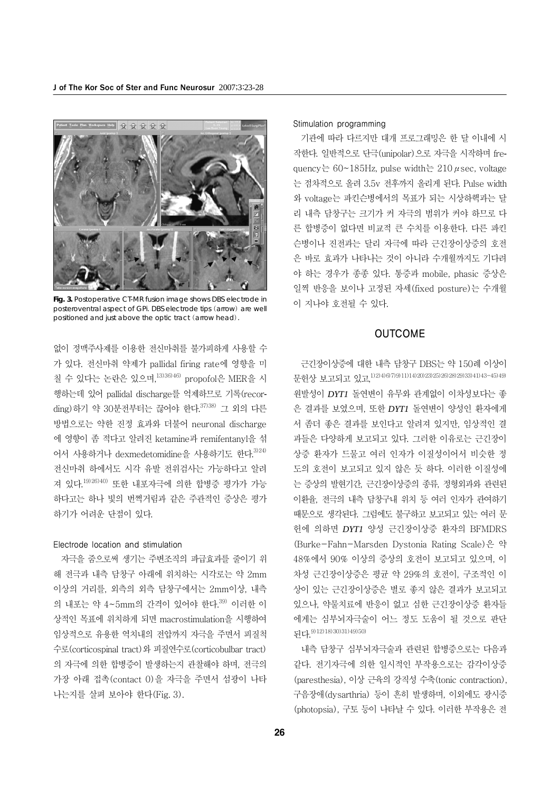

**Fig. 3.** Postoperative CT-MR fusion image shows DBS electrode in posteroventral aspect of GPi. DBS electrode tips (arrow) are well positioned and just above the optic tract (arrow head).

없이 정맥주사제를 이용한 전신마취를 불가피하게 사용할 수 가 있다. 전신마취 약제가 pallidal firing rate에 영향을 미 칠 수 있다는 논란은 있으며,13)36)46) propofol은 MER을 시 행하는데 있어 pallidal discharge를 억제하므로 기록(recording)하기 약 30분전부터는 끊어야 한다.<sup>37)38)</sup> 그 외의 다른 방법으로는 약한 진정 효과와 더불어 neuronal discharge 에 영향이 좀 적다고 알려진 ketamine과 remifentanyl을 섞 어서 사용하거나 dexmedetomidine을 사용하기도 한다.  $324$ 전신마취 하에서도 시각 유발 전위검사는 가능하다고 알려 져 있다.19)26)40) 또한 내포자극에 의한 합병증 평가가 가능 하다고는 하나 빛의 번쩍거림과 같은 주관적인 증상은 평가 하기가 어려운 단점이 있다.

#### Electrode location and stimulation

자극을 줌으로써 생기는 주변조직의 파급효과를 줄이기 위 해 전극과 내측 담창구 아래에 위치하는 시각로는 약 2mm 이상의 거리를, 외측의 외측 담창구에서는 2mm이상, 내측 의 내포는 약 4~5mm의 간격이 있어야 한다.<sup>39)</sup> 이러한 이 상적인 목표에 위치하게 되면 macrostimulation을 시행하여 임상적으로 유용한 역치내의 전압까지 자극을 주면서 피질척 수로(corticospinal tract)와 피질연수로(corticobulbar tract) 의 자극에 의한 합병증이 발생하는지 관찰해야 하며, 전극의 가장 아래 접촉(contact 0)을 자극을 주면서 섬광이 나타 나는지를 살펴 보아야 한다(Fig. 3).

#### Stimulation programming

기관에 따라 다르지만 대개 프로그래밍은 한 달 이내에 시 작한다. 일반적으로 단극(unipolar)으로 자극을 시작하며 frequency는 60~185Hz, pulse width는 210  $\mu$  sec, voltage 는 점차적으로 올려 3.5v 전후까지 올리게 된다. Pulse width 와 voltage는 파킨슨병에서의 목표가 되는 시상하핵과는 달 리 내측 담창구는 크기가 커 자극의 범위가 커야 하므로 다 른 합병증이 없다면 비교적 큰 수치를 이용한다. 다른 파킨 슨병이나 진전과는 달리 자극에 따라 근긴장이상증의 호전 은 바로 효과가 나타나는 것이 아니라 수개월까지도 기다려 야 하는 경우가 종종 있다. 통증과 mobile, phasic 증상은 일찍 반응을 보이나 고정된 자세(fixed posture)는 수개월 이 지나야 호전될 수 있다.

## OUTCOME

근긴장이상증에 대한 내측 담창구 DBS는 약 150례 이상이 문헌상 보고되고 있고,1)2)4)6)7)9)11)14)20)23)25)26)28)29)33)41)43-45)49) 원발성이 *DYT1* 돌연변이 유무와 관계없이 이차성보다는 좋 은 결과를 보였으며, 또한 *DYT1* 돌연변이 양성인 환자에게 서 좀더 좋은 결과를 보인다고 알려져 있지만, 임상적인 결 과들은 다양하게 보고되고 있다. 그러한 이유로는 근긴장이 상증 환자가 드물고 여러 인자가 이질성이어서 비슷한 정 도의 호전이 보고되고 있지 않은 듯 하다. 이러한 이질성에 는 증상의 발현기간, 근긴장이상증의 종류, 정형외과와 관련된 이환율, 전극의 내측 담창구내 위치 등 여러 인자가 관여하기 때문으로 생각된다. 그럼에도 불구하고 보고되고 있는 여러 문 헌에 의하면 *DYT1* 양성 근긴장이상증 환자의 BFMDRS (Burke-Fahn-Marsden Dystonia Rating Scale)은 약 48%에서 90% 이상의 증상의 호전이 보고되고 있으며, 이 차성 근긴장이상증은 평균 약 29%의 호전이, 구조적인 이 상이 있는 근긴장이상증은 별로 좋지 않은 결과가 보고되고 있으나, 약물치료에 반응이 없고 심한 근긴장이상증 환자들 에게는 심부뇌자극술이 어느 정도 도움이 될 것으로 판단 된다.9)12)18)30)31)49)50)

내측 담창구 심부뇌자극술과 관련된 합병증으로는 다음과 같다. 전기자극에 의한 일시적인 부작용으로는 감각이상증 (paresthesia), 이상 근육의 강직성 수축(tonic contraction), 구음장애(dysarthria) 등이 흔히 발생하며, 이외에도 광시증 (photopsia), 구토 등이 나타날 수 있다. 이러한 부작용은 전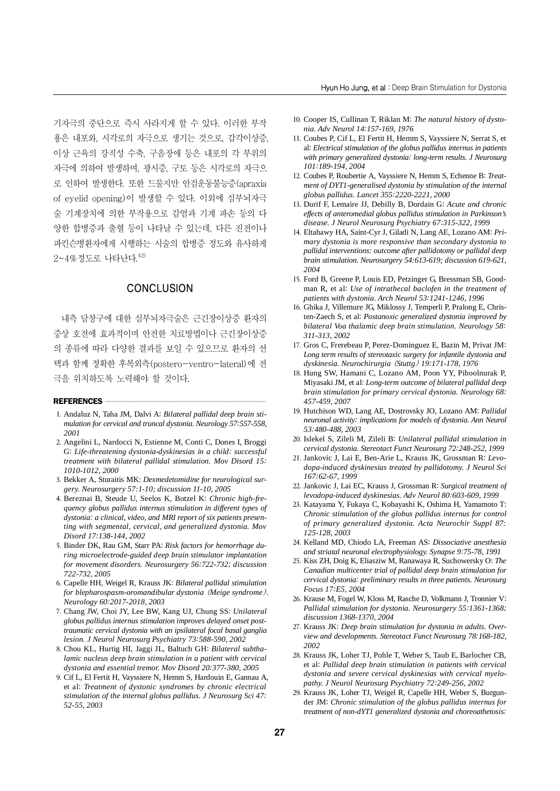기자극의 중단으로 즉시 사라지게 할 수 있다. 이러한 부작 용은 내포와, 시각로의 자극으로 생기는 것으로, 감각이상증, 이상 근육의 강직성 수축, 구음장애 등은 내포의 각 부위의 자극에 의하여 발생하며, 광시증, 구토 등은 시각로의 자극으 로 인하여 발생한다. 또한 드물지만 안검운동불능증(apraxia of eyelid opening)이 발생할 수 있다. 이외에 심부뇌자극 술 기계장치에 의한 부작용으로 감염과 기계 파손 등의 다 양한 합병증과 출혈 등이 나타날 수 있는데, 다른 진전이나 파킨슨병환자에게 시행하는 시술의 합병증 정도와 유사하게  $2 - 4\%$ 정도로 나타난다.  $42$ 

#### **CONCLUSION**

내측 담창구에 대한 심부뇌자극술은 근긴장이상증 환자의 증상 호전에 효과적이며 안전한 치료방법이나 근긴장이상증 의 종류에 따라 다양한 결과를 보일 수 있으므로 환자의 선 택과 함께 정확한 후복외측(postero-ventro-lateral)에 전 극을 위치하도록 노력해야 할 것이다.

#### REFERENCES

- 1. Andaluz N, Taha JM, Dalvi A: *Bilateral pallidal deep brain stimulation for cervical and truncal dystonia. Neurology 57:557-558, 2001*
- 2. Angelini L, Nardocci N, Estienne M, Conti C, Dones I, Broggi G: *Life-threatening dystonia-dyskinesias in a child: successful treatment with bilateral pallidal stimulation. Mov Disord 15: 1010-1012, 2000*
- 3. Bekker A, Sturaitis MK: *Dexmedetomidine for neurological surgery. Neurosurgery 57:1-10; discussion 11-10, 2005*
- 4. Bereznai B, Steude U, Seelos K, Botzel K: *Chronic high-frequency globus pallidus internus stimulation in different types of dystonia: a clinical, video, and MRI report of six patients presenting with segmental, cervical, and generalized dystonia. Mov Disord 17:138-144, 2002*
- 5. Binder DK, Rau GM, Starr PA: *Risk factors for hemorrhage during microelectrode-guided deep brain stimulator implantation for movement disorders. Neurosurgery 56:722-732; discussion 722-732, 2005*
- 6. Capelle HH, Weigel R, Krauss JK: *Bilateral pallidal stimulation for blepharospasm-oromandibular dystonia* (*Meige syndrome*)*. Neurology 60:2017-2018, 2003*
- 7. Chang JW, Choi JY, Lee BW, Kang UJ, Chung SS: *Unilateral globus pallidus internus stimulation improves delayed onset posttraumatic cervical dystonia with an ipsilateral focal basal ganglia lesion. J Neurol Neurosurg Psychiatry 73:588-590, 2002*
- 8. Chou KL, Hurtig HI, Jaggi JL, Baltuch GH: *Bilateral subthalamic nucleus deep brain stimulation in a patient with cervical dystonia and essential tremor. Mov Disord 20:377-380, 2005*
- 9. Cif L, El Fertit H, Vayssiere N, Hemm S, Hardouin E, Gannau A, et al: *Treatment of dystonic syndromes by chronic electrical stimulation of the internal globus pallidus. J Neurosurg Sci 47: 52-55, 2003*
- 10. Cooper IS, Cullinan T, Riklan M: *The natural history of dystonia. Adv Neurol 14:157-169, 1976*
- 11. Coubes P, Cif L, El Fertit H, Hemm S, Vayssiere N, Serrat S, et al: *Electrical stimulation of the globus pallidus internus in patients with primary generalized dystonia: long-term results. J Neurosurg 101:189-194, 2004*
- 12. Coubes P, Roubertie A, Vayssiere N, Hemm S, Echenne B: *Treatment of DYT1-generalised dystonia by stimulation of the internal globus pallidus. Lancet 355:2220-2221, 2000*
- 13. Durif F, Lemaire JJ, Debilly B, Dordain G: *Acute and chronic effects of anteromedial globus pallidus stimulation in Parkinson's disease. J Neurol Neurosurg Psychiatry 67:315-322, 1999*
- 14. Eltahawy HA, Saint-Cyr J, Giladi N, Lang AE, Lozano AM: *Primary dystonia is more responsive than secondary dystonia to pallidal interventions: outcome after pallidotomy or pallidal deep brain stimulation. Neurosurgery 54:613-619; discussion 619-621, 2004*
- 15. Ford B, Greene P, Louis ED, Petzinger G, Bressman SB, Goodman R, et al: *Use of intrathecal baclofen in the treatment of patients with dystonia. Arch Neurol 53:1241-1246, 1996*
- 16. Ghika J, Villemure JG, Miklossy J, Temperli P, Pralong E, Christen-Zaech S, et al: *Postanoxic generalized dystonia improved by bilateral Voa thalamic deep brain stimulation. Neurology 58: 311-313, 2002*
- 17. Gros C, Frerebeau P, Perez-Dominguez E, Bazin M, Privat JM: *Long term results of stereotaxic surgery for infantile dystonia and dyskinesia. Neurochirurgia* (*Stuttg*) *19:171-178, 1976*
- 18. Hung SW, Hamani C, Lozano AM, Poon YY, Piboolnurak P, Miyasaki JM, et al: *Long-term outcome of bilateral pallidal deep brain stimulation for primary cervical dystonia. Neurology 68: 457-459, 2007*
- 19. Hutchison WD, Lang AE, Dostrovsky JO, Lozano AM: *Pallidal neuronal activity: implications for models of dystonia. Ann Neurol 53:480-488, 2003*
- 20. Islekel S, Zileli M, Zileli B: *Unilateral pallidal stimulation in cervical dystonia. Stereotact Funct Neurosurg 72:248-252, 1999*
- 21. Jankovic J, Lai E, Ben-Arie L, Krauss JK, Grossman R: *Levodopa-induced dyskinesias treated by pallidotomy. J Neurol Sci 167:62-67, 1999*
- 22. Jankovic J, Lai EC, Krauss J, Grossman R: *Surgical treatment of levodopa-induced dyskinesias. Adv Neurol 80:603-609, 1999*
- 23. Katayama Y, Fukaya C, Kobayashi K, Oshima H, Yamamoto T: *Chronic stimulation of the globus pallidus internus for control of primary generalized dystonia. Acta Neurochir Suppl 87: 125-128, 2003*
- 24. Kelland MD, Chiodo LA, Freeman AS: *Dissociative anesthesia and striatal neuronal electrophysiology. Synapse 9:75-78, 1991*
- 25. Kiss ZH, Doig K, Eliasziw M, Ranawaya R, Suchowersky O: *The Canadian multicenter trial of pallidal deep brain stimulation for cervical dystonia: preliminary results in three patients. Neurosurg Focus 17:E5, 2004*
- 26. Krause M, Fogel W, Kloss M, Rasche D, Volkmann J, Tronnier V: *Pallidal stimulation for dystonia. Neurosurgery 55:1361-1368; discussion 1368-1370, 2004*
- 27. Krauss JK: *Deep brain stimulation for dystonia in adults. Overview and developments. Stereotact Funct Neurosurg 78:168-182, 2002*
- 28. Krauss JK, Loher TJ, Pohle T, Weber S, Taub E, Barlocher CB, et al: *Pallidal deep brain stimulation in patients with cervical dystonia and severe cervical dyskinesias with cervical myelopathy. J Neurol Neurosurg Psychiatry 72:249-256, 2002*
- 29. Krauss JK, Loher TJ, Weigel R, Capelle HH, Weber S, Burgunder JM: *Chronic stimulation of the globus pallidus internus for treatment of non-dYT1 generalized dystonia and choreoathetosis:*